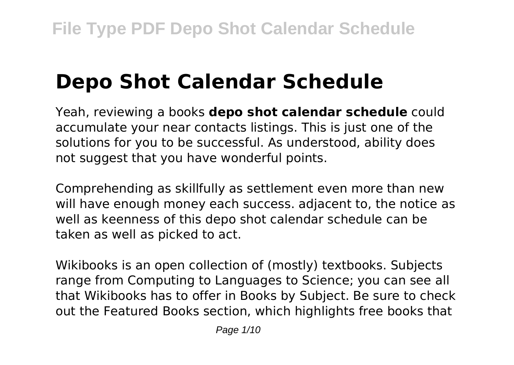# **Depo Shot Calendar Schedule**

Yeah, reviewing a books **depo shot calendar schedule** could accumulate your near contacts listings. This is just one of the solutions for you to be successful. As understood, ability does not suggest that you have wonderful points.

Comprehending as skillfully as settlement even more than new will have enough money each success. adjacent to, the notice as well as keenness of this depo shot calendar schedule can be taken as well as picked to act.

Wikibooks is an open collection of (mostly) textbooks. Subjects range from Computing to Languages to Science; you can see all that Wikibooks has to offer in Books by Subject. Be sure to check out the Featured Books section, which highlights free books that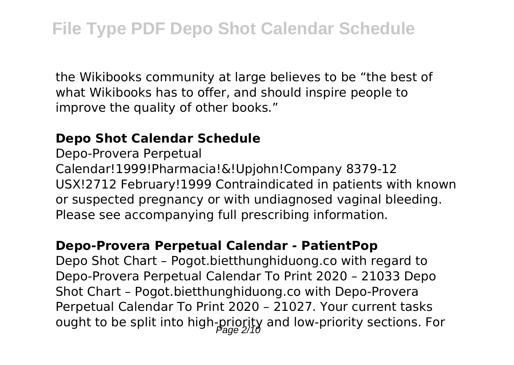the Wikibooks community at large believes to be "the best of what Wikibooks has to offer, and should inspire people to improve the quality of other books."

## **Depo Shot Calendar Schedule**

Depo-Provera Perpetual Calendar!1999!Pharmacia!&!Upjohn!Company 8379-12 USX!2712 February!1999 Contraindicated in patients with known or suspected pregnancy or with undiagnosed vaginal bleeding. Please see accompanying full prescribing information.

## **Depo-Provera Perpetual Calendar - PatientPop**

Depo Shot Chart – Pogot.bietthunghiduong.co with regard to Depo-Provera Perpetual Calendar To Print 2020 – 21033 Depo Shot Chart – Pogot.bietthunghiduong.co with Depo-Provera Perpetual Calendar To Print 2020 – 21027. Your current tasks ought to be split into high-priority and low-priority sections. For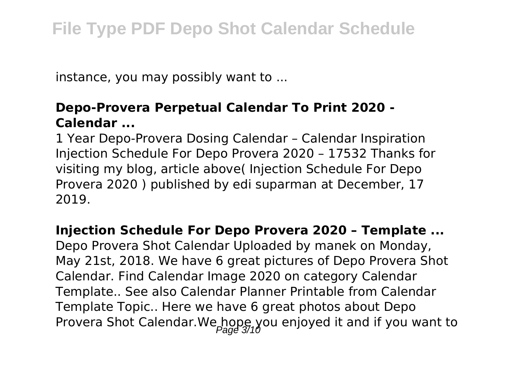instance, you may possibly want to ...

## **Depo-Provera Perpetual Calendar To Print 2020 - Calendar ...**

1 Year Depo-Provera Dosing Calendar – Calendar Inspiration Injection Schedule For Depo Provera 2020 – 17532 Thanks for visiting my blog, article above( Injection Schedule For Depo Provera 2020 ) published by edi suparman at December, 17 2019.

## **Injection Schedule For Depo Provera 2020 – Template ...**

Depo Provera Shot Calendar Uploaded by manek on Monday, May 21st, 2018. We have 6 great pictures of Depo Provera Shot Calendar. Find Calendar Image 2020 on category Calendar Template.. See also Calendar Planner Printable from Calendar Template Topic.. Here we have 6 great photos about Depo Provera Shot Calendar. We hope you enjoyed it and if you want to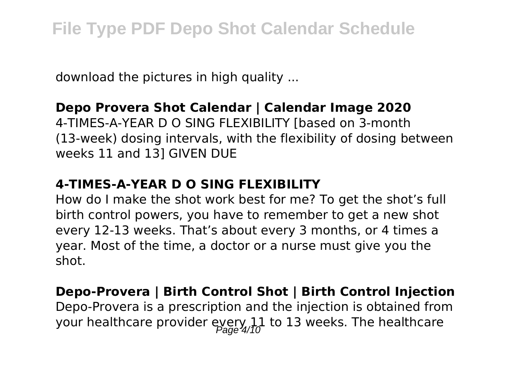download the pictures in high quality ...

## **Depo Provera Shot Calendar | Calendar Image 2020**

4-TIMES-A-YEAR D O SING FLEXIBILITY [based on 3-month (13-week) dosing intervals, with the flexibility of dosing between weeks 11 and 13] GIVEN DUE

## **4-TIMES-A-YEAR D O SING FLEXIBILITY**

How do I make the shot work best for me? To get the shot's full birth control powers, you have to remember to get a new shot every 12-13 weeks. That's about every 3 months, or 4 times a year. Most of the time, a doctor or a nurse must give you the shot.

## **Depo-Provera | Birth Control Shot | Birth Control Injection** Depo-Provera is a prescription and the injection is obtained from your healthcare provider every 11 to 13 weeks. The healthcare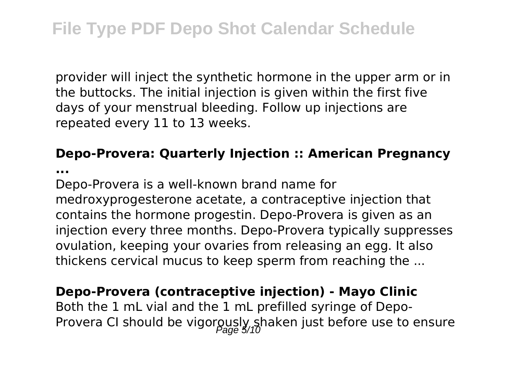provider will inject the synthetic hormone in the upper arm or in the buttocks. The initial injection is given within the first five days of your menstrual bleeding. Follow up injections are repeated every 11 to 13 weeks.

## **Depo-Provera: Quarterly Injection :: American Pregnancy**

**...**

Depo-Provera is a well-known brand name for medroxyprogesterone acetate, a contraceptive injection that contains the hormone progestin. Depo-Provera is given as an injection every three months. Depo-Provera typically suppresses ovulation, keeping your ovaries from releasing an egg. It also thickens cervical mucus to keep sperm from reaching the ...

## **Depo-Provera (contraceptive injection) - Mayo Clinic**

Both the 1 mL vial and the 1 mL prefilled syringe of Depo-Provera CI should be vigorously shaken just before use to ensure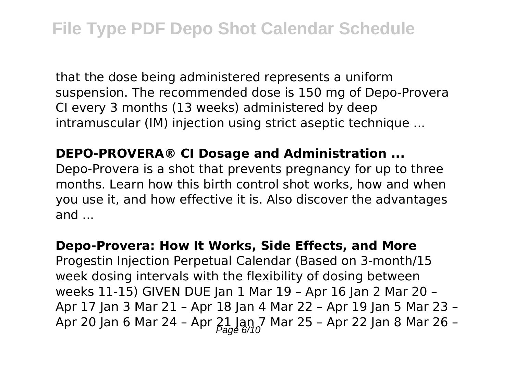that the dose being administered represents a uniform suspension. The recommended dose is 150 mg of Depo-Provera CI every 3 months (13 weeks) administered by deep intramuscular (IM) injection using strict aseptic technique ...

## **DEPO-PROVERA® CI Dosage and Administration ...**

Depo-Provera is a shot that prevents pregnancy for up to three months. Learn how this birth control shot works, how and when you use it, and how effective it is. Also discover the advantages and ...

## **Depo-Provera: How It Works, Side Effects, and More** Progestin Injection Perpetual Calendar (Based on 3-month/15 week dosing intervals with the flexibility of dosing between weeks 11-15) GIVEN DUE Jan 1 Mar 19 – Apr 16 Jan 2 Mar 20 – Apr 17 Jan 3 Mar 21 – Apr 18 Jan 4 Mar 22 – Apr 19 Jan 5 Mar 23 – Apr 20 Jan 6 Mar 24 - Apr  $21 \text{ km}$ , Mar 25 - Apr 22 Jan 8 Mar 26 -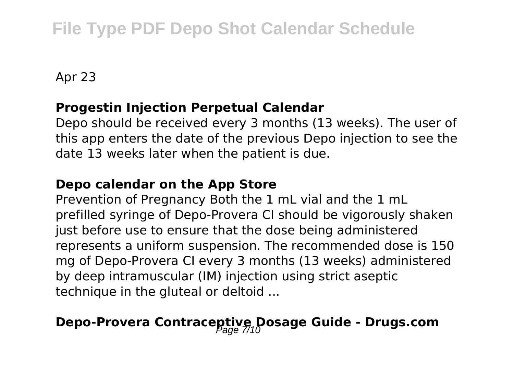# **File Type PDF Depo Shot Calendar Schedule**

Apr 23

#### **Progestin Injection Perpetual Calendar**

Depo should be received every 3 months (13 weeks). The user of this app enters the date of the previous Depo injection to see the date 13 weeks later when the patient is due.

#### **Depo calendar on the App Store**

Prevention of Pregnancy Both the 1 mL vial and the 1 mL prefilled syringe of Depo-Provera CI should be vigorously shaken just before use to ensure that the dose being administered represents a uniform suspension. The recommended dose is 150 mg of Depo-Provera CI every 3 months (13 weeks) administered by deep intramuscular (IM) injection using strict aseptic technique in the gluteal or deltoid ...

## **Depo-Provera Contraceptive Dosage Guide - Drugs.com**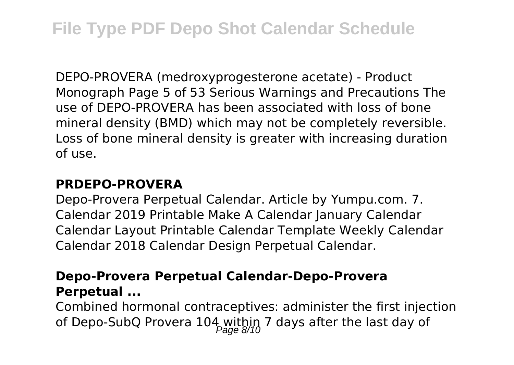DEPO-PROVERA (medroxyprogesterone acetate) - Product Monograph Page 5 of 53 Serious Warnings and Precautions The use of DEPO-PROVERA has been associated with loss of bone mineral density (BMD) which may not be completely reversible. Loss of bone mineral density is greater with increasing duration of use.

## **PRDEPO-PROVERA**

Depo-Provera Perpetual Calendar. Article by Yumpu.com. 7. Calendar 2019 Printable Make A Calendar January Calendar Calendar Layout Printable Calendar Template Weekly Calendar Calendar 2018 Calendar Design Perpetual Calendar.

## **Depo-Provera Perpetual Calendar-Depo-Provera Perpetual ...**

Combined hormonal contraceptives: administer the first injection of Depo-SubQ Provera 104 within 7 days after the last day of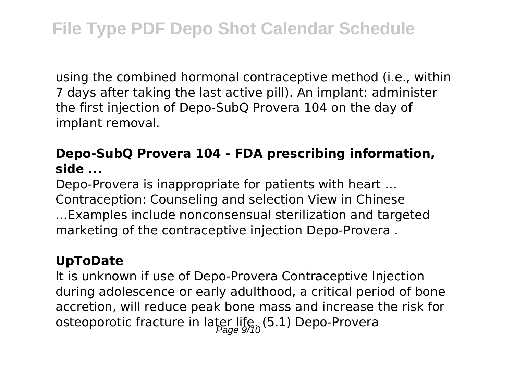using the combined hormonal contraceptive method (i.e., within 7 days after taking the last active pill). An implant: administer the first injection of Depo-SubQ Provera 104 on the day of implant removal.

## **Depo-SubQ Provera 104 - FDA prescribing information, side ...**

Depo-Provera is inappropriate for patients with heart … Contraception: Counseling and selection View in Chinese …Examples include nonconsensual sterilization and targeted marketing of the contraceptive injection Depo-Provera .

## **UpToDate**

It is unknown if use of Depo-Provera Contraceptive Injection during adolescence or early adulthood, a critical period of bone accretion, will reduce peak bone mass and increase the risk for osteoporotic fracture in later life,  $(5.1)$  Depo-Provera